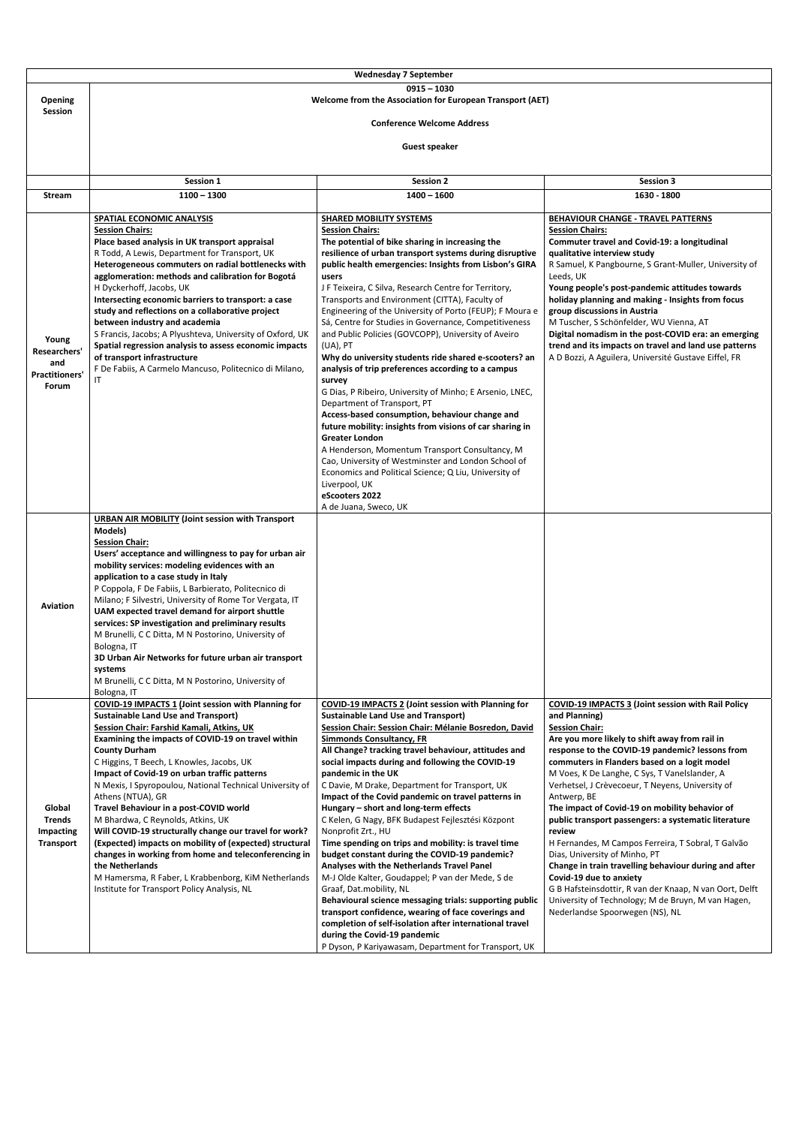| <b>Wednesday 7 September</b>     |                                                                                                        |                                                                                                                   |                                                                                     |  |  |
|----------------------------------|--------------------------------------------------------------------------------------------------------|-------------------------------------------------------------------------------------------------------------------|-------------------------------------------------------------------------------------|--|--|
| $0915 - 1030$                    |                                                                                                        |                                                                                                                   |                                                                                     |  |  |
| <b>Opening</b><br><b>Session</b> | Welcome from the Association for European Transport (AET)                                              |                                                                                                                   |                                                                                     |  |  |
|                                  | <b>Conference Welcome Address</b>                                                                      |                                                                                                                   |                                                                                     |  |  |
|                                  |                                                                                                        |                                                                                                                   |                                                                                     |  |  |
|                                  | <b>Guest speaker</b>                                                                                   |                                                                                                                   |                                                                                     |  |  |
|                                  |                                                                                                        |                                                                                                                   |                                                                                     |  |  |
|                                  | Session 1                                                                                              | <b>Session 2</b>                                                                                                  | <b>Session 3</b>                                                                    |  |  |
| <b>Stream</b>                    | $1100 - 1300$                                                                                          | $1400 - 1600$                                                                                                     | 1630 - 1800                                                                         |  |  |
|                                  | SPATIAL ECONOMIC ANALYSIS                                                                              | <b>SHARED MOBILITY SYSTEMS</b>                                                                                    | <b>BEHAVIOUR CHANGE - TRAVEL PATTERNS</b>                                           |  |  |
|                                  | <b>Session Chairs:</b>                                                                                 | <b>Session Chairs:</b>                                                                                            | <b>Session Chairs:</b>                                                              |  |  |
|                                  | Place based analysis in UK transport appraisal<br>R Todd, A Lewis, Department for Transport, UK        | The potential of bike sharing in increasing the<br>resilience of urban transport systems during disruptive        | Commuter travel and Covid-19: a longitudinal<br>qualitative interview study         |  |  |
|                                  | Heterogeneous commuters on radial bottlenecks with                                                     | public health emergencies: Insights from Lisbon's GIRA                                                            | R Samuel, K Pangbourne, S Grant-Muller, University of                               |  |  |
|                                  | agglomeration: methods and calibration for Bogotá                                                      | users                                                                                                             | Leeds, UK                                                                           |  |  |
|                                  | H Dyckerhoff, Jacobs, UK                                                                               | J F Teixeira, C Silva, Research Centre for Territory,                                                             | Young people's post-pandemic attitudes towards                                      |  |  |
|                                  | Intersecting economic barriers to transport: a case                                                    | Transports and Environment (CITTA), Faculty of                                                                    | holiday planning and making - Insights from focus                                   |  |  |
|                                  | study and reflections on a collaborative project<br>between industry and academia                      | Engineering of the University of Porto (FEUP); F Moura e<br>Sá, Centre for Studies in Governance, Competitiveness | group discussions in Austria<br>M Tuscher, S Schönfelder, WU Vienna, AT             |  |  |
|                                  | S Francis, Jacobs; A Plyushteva, University of Oxford, UK                                              | and Public Policies (GOVCOPP), University of Aveiro                                                               | Digital nomadism in the post-COVID era: an emerging                                 |  |  |
| Young<br>Researchers'            | Spatial regression analysis to assess economic impacts                                                 | (UA), PT                                                                                                          | trend and its impacts on travel and land use patterns                               |  |  |
| and                              | of transport infrastructure                                                                            | Why do university students ride shared e-scooters? an                                                             | A D Bozzi, A Aguilera, Université Gustave Eiffel, FR                                |  |  |
| <b>Practitioners'</b>            | F De Fabiis, A Carmelo Mancuso, Politecnico di Milano,<br>ΙT                                           | analysis of trip preferences according to a campus<br>survey                                                      |                                                                                     |  |  |
| Forum                            |                                                                                                        | G Dias, P Ribeiro, University of Minho; E Arsenio, LNEC,                                                          |                                                                                     |  |  |
|                                  |                                                                                                        | Department of Transport, PT                                                                                       |                                                                                     |  |  |
|                                  |                                                                                                        | Access-based consumption, behaviour change and                                                                    |                                                                                     |  |  |
|                                  |                                                                                                        | future mobility: insights from visions of car sharing in<br><b>Greater London</b>                                 |                                                                                     |  |  |
|                                  |                                                                                                        | A Henderson, Momentum Transport Consultancy, M                                                                    |                                                                                     |  |  |
|                                  |                                                                                                        | Cao, University of Westminster and London School of                                                               |                                                                                     |  |  |
|                                  |                                                                                                        | Economics and Political Science; Q Liu, University of                                                             |                                                                                     |  |  |
|                                  |                                                                                                        | Liverpool, UK                                                                                                     |                                                                                     |  |  |
|                                  |                                                                                                        | eScooters 2022<br>A de Juana, Sweco, UK                                                                           |                                                                                     |  |  |
|                                  | <b>URBAN AIR MOBILITY (Joint session with Transport</b>                                                |                                                                                                                   |                                                                                     |  |  |
|                                  | Models)                                                                                                |                                                                                                                   |                                                                                     |  |  |
|                                  | <b>Session Chair:</b><br>Users' acceptance and willingness to pay for urban air                        |                                                                                                                   |                                                                                     |  |  |
|                                  | mobility services: modeling evidences with an                                                          |                                                                                                                   |                                                                                     |  |  |
|                                  | application to a case study in Italy                                                                   |                                                                                                                   |                                                                                     |  |  |
|                                  | P Coppola, F De Fabiis, L Barbierato, Politecnico di                                                   |                                                                                                                   |                                                                                     |  |  |
| <b>Aviation</b>                  | Milano; F Silvestri, University of Rome Tor Vergata, IT                                                |                                                                                                                   |                                                                                     |  |  |
|                                  | UAM expected travel demand for airport shuttle<br>services: SP investigation and preliminary results   |                                                                                                                   |                                                                                     |  |  |
|                                  | M Brunelli, C C Ditta, M N Postorino, University of                                                    |                                                                                                                   |                                                                                     |  |  |
|                                  | Bologna, IT                                                                                            |                                                                                                                   |                                                                                     |  |  |
|                                  | 3D Urban Air Networks for future urban air transport                                                   |                                                                                                                   |                                                                                     |  |  |
|                                  | systems<br>M Brunelli, C C Ditta, M N Postorino, University of                                         |                                                                                                                   |                                                                                     |  |  |
|                                  | Bologna, IT                                                                                            |                                                                                                                   |                                                                                     |  |  |
|                                  | <b>COVID-19 IMPACTS 1 (Joint session with Planning for</b>                                             | <b>COVID-19 IMPACTS 2 (Joint session with Planning for</b>                                                        | <b>COVID-19 IMPACTS 3 (Joint session with Rail Policy</b>                           |  |  |
|                                  | <b>Sustainable Land Use and Transport)</b>                                                             | <b>Sustainable Land Use and Transport)</b>                                                                        | and Planning)                                                                       |  |  |
|                                  | <b>Session Chair: Farshid Kamali, Atkins, UK</b><br>Examining the impacts of COVID-19 on travel within | Session Chair: Session Chair: Mélanie Bosredon, David<br><b>Simmonds Consultancy, FR</b>                          | <b>Session Chair:</b><br>Are you more likely to shift away from rail in             |  |  |
|                                  | <b>County Durham</b>                                                                                   | All Change? tracking travel behaviour, attitudes and                                                              | response to the COVID-19 pandemic? lessons from                                     |  |  |
|                                  | C Higgins, T Beech, L Knowles, Jacobs, UK                                                              | social impacts during and following the COVID-19                                                                  | commuters in Flanders based on a logit model                                        |  |  |
|                                  | Impact of Covid-19 on urban traffic patterns                                                           | pandemic in the UK                                                                                                | M Voes, K De Langhe, C Sys, T Vanelslander, A                                       |  |  |
|                                  | N Mexis, I Spyropoulou, National Technical University of<br>Athens (NTUA), GR                          | C Davie, M Drake, Department for Transport, UK<br>Impact of the Covid pandemic on travel patterns in              | Verhetsel, J Crèvecoeur, T Neyens, University of<br>Antwerp, BE                     |  |  |
| Global                           | Travel Behaviour in a post-COVID world                                                                 | Hungary - short and long-term effects                                                                             | The impact of Covid-19 on mobility behavior of                                      |  |  |
| <b>Trends</b>                    | M Bhardwa, C Reynolds, Atkins, UK                                                                      | C Kelen, G Nagy, BFK Budapest Fejlesztési Központ                                                                 | public transport passengers: a systematic literature                                |  |  |
| Impacting                        | Will COVID-19 structurally change our travel for work?                                                 | Nonprofit Zrt., HU                                                                                                | review                                                                              |  |  |
| <b>Transport</b>                 | (Expected) impacts on mobility of (expected) structural                                                | Time spending on trips and mobility: is travel time                                                               | H Fernandes, M Campos Ferreira, T Sobral, T Galvão<br>Dias, University of Minho, PT |  |  |
|                                  | changes in working from home and teleconferencing in<br>the Netherlands                                | budget constant during the COVID-19 pandemic?<br>Analyses with the Netherlands Travel Panel                       | Change in train travelling behaviour during and after                               |  |  |
|                                  | M Hamersma, R Faber, L Krabbenborg, KiM Netherlands                                                    | M-J Olde Kalter, Goudappel; P van der Mede, S de                                                                  | Covid-19 due to anxiety                                                             |  |  |
|                                  | Institute for Transport Policy Analysis, NL                                                            | Graaf, Dat.mobility, NL                                                                                           | G B Hafsteinsdottir, R van der Knaap, N van Oort, Delft                             |  |  |
|                                  |                                                                                                        | Behavioural science messaging trials: supporting public                                                           | University of Technology; M de Bruyn, M van Hagen,                                  |  |  |
|                                  |                                                                                                        | transport confidence, wearing of face coverings and<br>completion of self-isolation after international travel    | Nederlandse Spoorwegen (NS), NL                                                     |  |  |
|                                  |                                                                                                        | during the Covid-19 pandemic                                                                                      |                                                                                     |  |  |
|                                  |                                                                                                        | P Dyson, P Kariyawasam, Department for Transport, UK                                                              |                                                                                     |  |  |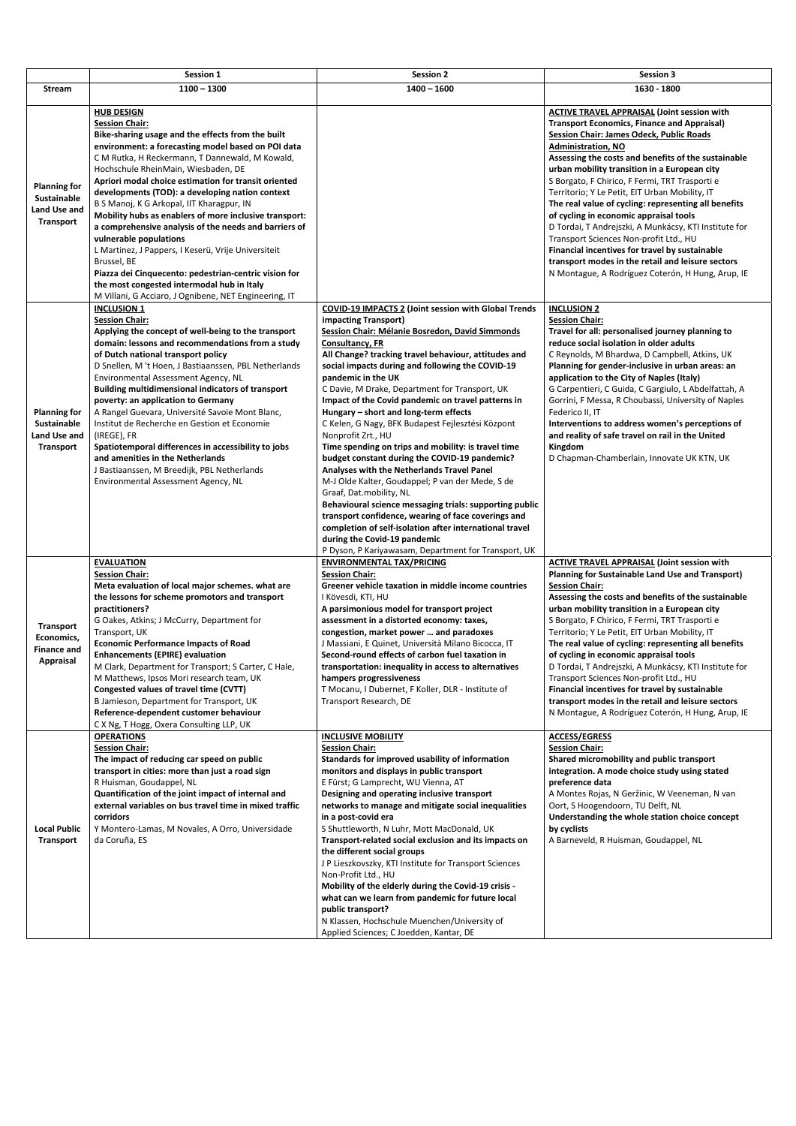|                                                                                      | Session 1                                                                                                                                                                                                                                                                                                                                                                                                                                                                                                                                                                                                                                                                                                                                                                                  | <b>Session 2</b>                                                                                                                                                                                                                                                                                                                                                                                                                                                                                                                                                                                                                                                                                                                                                                                                                                                                                                                                                                                                                  | <b>Session 3</b>                                                                                                                                                                                                                                                                                                                                                                                                                                                                                                                                                                                                                                                                                                                                                     |
|--------------------------------------------------------------------------------------|--------------------------------------------------------------------------------------------------------------------------------------------------------------------------------------------------------------------------------------------------------------------------------------------------------------------------------------------------------------------------------------------------------------------------------------------------------------------------------------------------------------------------------------------------------------------------------------------------------------------------------------------------------------------------------------------------------------------------------------------------------------------------------------------|-----------------------------------------------------------------------------------------------------------------------------------------------------------------------------------------------------------------------------------------------------------------------------------------------------------------------------------------------------------------------------------------------------------------------------------------------------------------------------------------------------------------------------------------------------------------------------------------------------------------------------------------------------------------------------------------------------------------------------------------------------------------------------------------------------------------------------------------------------------------------------------------------------------------------------------------------------------------------------------------------------------------------------------|----------------------------------------------------------------------------------------------------------------------------------------------------------------------------------------------------------------------------------------------------------------------------------------------------------------------------------------------------------------------------------------------------------------------------------------------------------------------------------------------------------------------------------------------------------------------------------------------------------------------------------------------------------------------------------------------------------------------------------------------------------------------|
| <b>Stream</b>                                                                        | $1100 - 1300$                                                                                                                                                                                                                                                                                                                                                                                                                                                                                                                                                                                                                                                                                                                                                                              | $1400 - 1600$                                                                                                                                                                                                                                                                                                                                                                                                                                                                                                                                                                                                                                                                                                                                                                                                                                                                                                                                                                                                                     | 1630 - 1800                                                                                                                                                                                                                                                                                                                                                                                                                                                                                                                                                                                                                                                                                                                                                          |
| <b>Planning for</b><br><b>Sustainable</b><br>Land Use and<br><b>Transport</b>        | <b>HUB DESIGN</b><br><b>Session Chair:</b><br>Bike-sharing usage and the effects from the built<br>environment: a forecasting model based on POI data<br>C M Rutka, H Reckermann, T Dannewald, M Kowald,<br>Hochschule RheinMain, Wiesbaden, DE<br>Apriori modal choice estimation for transit oriented<br>developments (TOD): a developing nation context<br>B S Manoj, K G Arkopal, IIT Kharagpur, IN<br>Mobility hubs as enablers of more inclusive transport:<br>a comprehensive analysis of the needs and barriers of<br>vulnerable populations<br>L Martinez, J Pappers, I Keserü, Vrije Universiteit<br>Brussel, BE<br>Piazza dei Cinquecento: pedestrian-centric vision for<br>the most congested intermodal hub in Italy<br>M Villani, G Acciaro, J Ognibene, NET Engineering, IT |                                                                                                                                                                                                                                                                                                                                                                                                                                                                                                                                                                                                                                                                                                                                                                                                                                                                                                                                                                                                                                   | <b>ACTIVE TRAVEL APPRAISAL (Joint session with</b><br><b>Transport Economics, Finance and Appraisal)</b><br><b>Session Chair: James Odeck, Public Roads</b><br><b>Administration, NO</b><br>Assessing the costs and benefits of the sustainable<br>urban mobility transition in a European city<br>S Borgato, F Chirico, F Fermi, TRT Trasporti e<br>Territorio; Y Le Petit, EIT Urban Mobility, IT<br>The real value of cycling: representing all benefits<br>of cycling in economic appraisal tools<br>D Tordai, T Andrejszki, A Munkácsy, KTI Institute for<br>Transport Sciences Non-profit Ltd., HU<br>Financial incentives for travel by sustainable<br>transport modes in the retail and leisure sectors<br>N Montague, A Rodríguez Coterón, H Hung, Arup, IE |
| <b>Planning for</b><br><b>Sustainable</b><br><b>Land Use and</b><br><b>Transport</b> | <b>INCLUSION 1</b><br><b>Session Chair:</b><br>Applying the concept of well-being to the transport<br>domain: lessons and recommendations from a study<br>of Dutch national transport policy<br>D Snellen, M 't Hoen, J Bastiaanssen, PBL Netherlands<br>Environmental Assessment Agency, NL<br><b>Building multidimensional indicators of transport</b><br>poverty: an application to Germany<br>A Rangel Guevara, Université Savoie Mont Blanc,<br>Institut de Recherche en Gestion et Economie<br>(IREGE), FR<br>Spatiotemporal differences in accessibility to jobs<br>and amenities in the Netherlands<br>J Bastiaanssen, M Breedijk, PBL Netherlands<br>Environmental Assessment Agency, NL                                                                                          | <b>COVID-19 IMPACTS 2 (Joint session with Global Trends</b><br>impacting Transport)<br>Session Chair: Mélanie Bosredon, David Simmonds<br>Consultancy, FR<br>All Change? tracking travel behaviour, attitudes and<br>social impacts during and following the COVID-19<br>pandemic in the UK<br>C Davie, M Drake, Department for Transport, UK<br>Impact of the Covid pandemic on travel patterns in<br>Hungary - short and long-term effects<br>C Kelen, G Nagy, BFK Budapest Fejlesztési Központ<br>Nonprofit Zrt., HU<br>Time spending on trips and mobility: is travel time<br>budget constant during the COVID-19 pandemic?<br>Analyses with the Netherlands Travel Panel<br>M-J Olde Kalter, Goudappel; P van der Mede, S de<br>Graaf, Dat.mobility, NL<br>Behavioural science messaging trials: supporting public<br>transport confidence, wearing of face coverings and<br>completion of self-isolation after international travel<br>during the Covid-19 pandemic<br>P Dyson, P Kariyawasam, Department for Transport, UK | <b>INCLUSION 2</b><br><b>Session Chair:</b><br>Travel for all: personalised journey planning to<br>reduce social isolation in older adults<br>C Reynolds, M Bhardwa, D Campbell, Atkins, UK<br>Planning for gender-inclusive in urban areas: an<br>application to the City of Naples (Italy)<br>G Carpentieri, C Guida, C Gargiulo, L Abdelfattah, A<br>Gorrini, F Messa, R Choubassi, University of Naples<br>Federico II, IT<br>Interventions to address women's perceptions of<br>and reality of safe travel on rail in the United<br>Kingdom<br>D Chapman-Chamberlain, Innovate UK KTN, UK                                                                                                                                                                       |
| <b>Transport</b><br>Economics,<br><b>Finance and</b><br><b>Appraisal</b>             | <b>EVALUATION</b><br><b>Session Chair:</b><br>Meta evaluation of local major schemes. what are<br>the lessons for scheme promotors and transport<br>practitioners?<br>G Oakes, Atkins; J McCurry, Department for<br>Transport, UK<br><b>Economic Performance Impacts of Road</b><br><b>Enhancements (EPIRE) evaluation</b><br>M Clark, Department for Transport; S Carter, C Hale,<br>M Matthews, Ipsos Mori research team, UK<br><b>Congested values of travel time (CVTT)</b><br>B Jamieson, Department for Transport, UK<br>Reference-dependent customer behaviour<br>C X Ng, T Hogg, Oxera Consulting LLP, UK                                                                                                                                                                          | <b>ENVIRONMENTAL TAX/PRICING</b><br><b>Session Chair:</b><br>Greener vehicle taxation in middle income countries<br>I Kövesdi, KTI, HU<br>A parsimonious model for transport project<br>assessment in a distorted economy: taxes,<br>congestion, market power  and paradoxes<br>J Massiani, E Quinet, Università Milano Bicocca, IT<br>Second-round effects of carbon fuel taxation in<br>transportation: inequality in access to alternatives<br>hampers progressiveness<br>T Mocanu, I Dubernet, F Koller, DLR - Institute of<br>Transport Research, DE                                                                                                                                                                                                                                                                                                                                                                                                                                                                         | <b>ACTIVE TRAVEL APPRAISAL (Joint session with</b><br><b>Planning for Sustainable Land Use and Transport)</b><br><b>Session Chair:</b><br>Assessing the costs and benefits of the sustainable<br>urban mobility transition in a European city<br>S Borgato, F Chirico, F Fermi, TRT Trasporti e<br>Territorio; Y Le Petit, EIT Urban Mobility, IT<br>The real value of cycling: representing all benefits<br>of cycling in economic appraisal tools<br>D Tordai, T Andrejszki, A Munkácsy, KTI Institute for<br>Transport Sciences Non-profit Ltd., HU<br>Financial incentives for travel by sustainable<br>transport modes in the retail and leisure sectors<br>N Montague, A Rodríguez Coterón, H Hung, Arup, IE                                                   |
| <b>Local Public</b><br><b>Transport</b>                                              | <b>OPERATIONS</b><br><b>Session Chair:</b><br>The impact of reducing car speed on public<br>transport in cities: more than just a road sign<br>R Huisman, Goudappel, NL<br>Quantification of the joint impact of internal and<br>external variables on bus travel time in mixed traffic<br>corridors<br>Y Montero-Lamas, M Novales, A Orro, Universidade<br>da Coruña, ES                                                                                                                                                                                                                                                                                                                                                                                                                  | <b>INCLUSIVE MOBILITY</b><br><b>Session Chair:</b><br>Standards for improved usability of information<br>monitors and displays in public transport<br>E Fürst; G Lamprecht, WU Vienna, AT<br>Designing and operating inclusive transport<br>networks to manage and mitigate social inequalities<br>in a post-covid era<br>S Shuttleworth, N Luhr, Mott MacDonald, UK<br>Transport-related social exclusion and its impacts on                                                                                                                                                                                                                                                                                                                                                                                                                                                                                                                                                                                                     | <b>ACCESS/EGRESS</b><br><b>Session Chair:</b><br>Shared micromobility and public transport<br>integration. A mode choice study using stated<br>preference data<br>A Montes Rojas, N Geržinic, W Veeneman, N van<br>Oort, S Hoogendoorn, TU Delft, NL<br>Understanding the whole station choice concept<br>by cyclists<br>A Barneveld, R Huisman, Goudappel, NL                                                                                                                                                                                                                                                                                                                                                                                                       |

| the different social groups                            |  |
|--------------------------------------------------------|--|
| J P Lieszkovszky, KTI Institute for Transport Sciences |  |
| Non-Profit Ltd., HU                                    |  |
| Mobility of the elderly during the Covid-19 crisis -   |  |
| what can we learn from pandemic for future local       |  |
| public transport?                                      |  |
| N Klassen, Hochschule Muenchen/University of           |  |
| Applied Sciences; C Joedden, Kantar, DE                |  |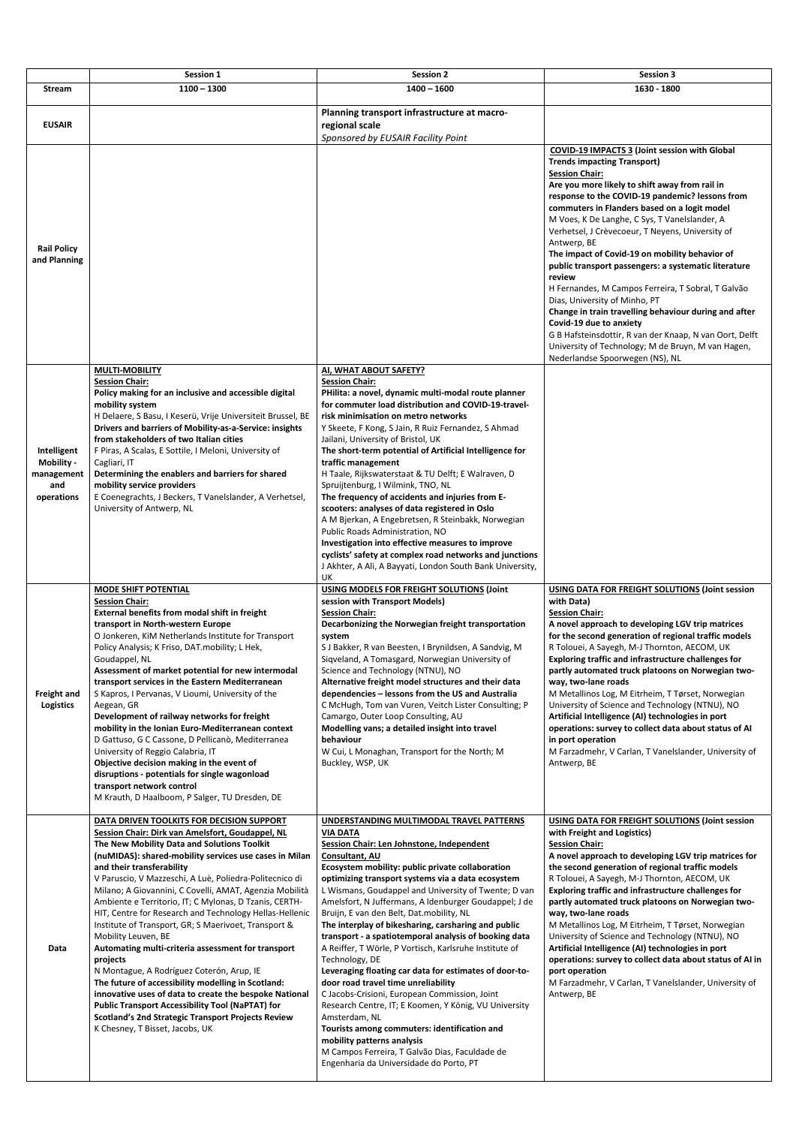|                                                              | Session 1                                                                                                                                                                                                                                                                                                                                                                                                                                                                                                                                                                                                                                                                                                                                                                                                                  | <b>Session 2</b>                                                                                                                                                                                                                                                                                                                                                                                                                                                                                                                                                                                                                                                                                                                                                                                                                                             | <b>Session 3</b>                                                                                                                                                                                                                                                                                                                                                                                                                                                                                                                                                                                                                                                                                                                                                                                                                         |
|--------------------------------------------------------------|----------------------------------------------------------------------------------------------------------------------------------------------------------------------------------------------------------------------------------------------------------------------------------------------------------------------------------------------------------------------------------------------------------------------------------------------------------------------------------------------------------------------------------------------------------------------------------------------------------------------------------------------------------------------------------------------------------------------------------------------------------------------------------------------------------------------------|--------------------------------------------------------------------------------------------------------------------------------------------------------------------------------------------------------------------------------------------------------------------------------------------------------------------------------------------------------------------------------------------------------------------------------------------------------------------------------------------------------------------------------------------------------------------------------------------------------------------------------------------------------------------------------------------------------------------------------------------------------------------------------------------------------------------------------------------------------------|------------------------------------------------------------------------------------------------------------------------------------------------------------------------------------------------------------------------------------------------------------------------------------------------------------------------------------------------------------------------------------------------------------------------------------------------------------------------------------------------------------------------------------------------------------------------------------------------------------------------------------------------------------------------------------------------------------------------------------------------------------------------------------------------------------------------------------------|
| <b>Stream</b>                                                | $1100 - 1300$                                                                                                                                                                                                                                                                                                                                                                                                                                                                                                                                                                                                                                                                                                                                                                                                              | $1400 - 1600$                                                                                                                                                                                                                                                                                                                                                                                                                                                                                                                                                                                                                                                                                                                                                                                                                                                | 1630 - 1800                                                                                                                                                                                                                                                                                                                                                                                                                                                                                                                                                                                                                                                                                                                                                                                                                              |
| <b>EUSAIR</b>                                                |                                                                                                                                                                                                                                                                                                                                                                                                                                                                                                                                                                                                                                                                                                                                                                                                                            | Planning transport infrastructure at macro-<br>regional scale<br>Sponsored by EUSAIR Facility Point                                                                                                                                                                                                                                                                                                                                                                                                                                                                                                                                                                                                                                                                                                                                                          |                                                                                                                                                                                                                                                                                                                                                                                                                                                                                                                                                                                                                                                                                                                                                                                                                                          |
| <b>Rail Policy</b><br>and Planning                           |                                                                                                                                                                                                                                                                                                                                                                                                                                                                                                                                                                                                                                                                                                                                                                                                                            |                                                                                                                                                                                                                                                                                                                                                                                                                                                                                                                                                                                                                                                                                                                                                                                                                                                              | COVID-19 IMPACTS 3 (Joint session with Global<br><b>Trends impacting Transport)</b><br><b>Session Chair:</b><br>Are you more likely to shift away from rail in<br>response to the COVID-19 pandemic? lessons from<br>commuters in Flanders based on a logit model<br>M Voes, K De Langhe, C Sys, T Vanelslander, A<br>Verhetsel, J Crèvecoeur, T Neyens, University of<br>Antwerp, BE<br>The impact of Covid-19 on mobility behavior of<br>public transport passengers: a systematic literature<br>review<br>H Fernandes, M Campos Ferreira, T Sobral, T Galvão<br>Dias, University of Minho, PT<br>Change in train travelling behaviour during and after<br>Covid-19 due to anxiety<br>G B Hafsteinsdottir, R van der Knaap, N van Oort, Delft<br>University of Technology; M de Bruyn, M van Hagen,<br>Nederlandse Spoorwegen (NS), NL |
| Intelligent<br>Mobility -<br>management<br>and<br>operations | <b>MULTI-MOBILITY</b><br><b>Session Chair:</b><br>Policy making for an inclusive and accessible digital<br>mobility system<br>H Delaere, S Basu, I Keserü, Vrije Universiteit Brussel, BE<br>Drivers and barriers of Mobility-as-a-Service: insights<br>from stakeholders of two Italian cities<br>F Piras, A Scalas, E Sottile, I Meloni, University of<br>Cagliari, IT<br>Determining the enablers and barriers for shared<br>mobility service providers<br>E Coenegrachts, J Beckers, T Vanelslander, A Verhetsel,<br>University of Antwerp, NL                                                                                                                                                                                                                                                                         | AI, WHAT ABOUT SAFETY?<br><b>Session Chair:</b><br>PHilita: a novel, dynamic multi-modal route planner<br>for commuter load distribution and COVID-19-travel-<br>risk minimisation on metro networks<br>Y Skeete, F Kong, S Jain, R Ruiz Fernandez, S Ahmad<br>Jailani, University of Bristol, UK<br>The short-term potential of Artificial Intelligence for<br>traffic management<br>H Taale, Rijkswaterstaat & TU Delft; E Walraven, D<br>Spruijtenburg, I Wilmink, TNO, NL<br>The frequency of accidents and injuries from E-<br>scooters: analyses of data registered in Oslo<br>A M Bjerkan, A Engebretsen, R Steinbakk, Norwegian<br>Public Roads Administration, NO<br>Investigation into effective measures to improve<br>cyclists' safety at complex road networks and junctions<br>J Akhter, A Ali, A Bayyati, London South Bank University,<br>UK |                                                                                                                                                                                                                                                                                                                                                                                                                                                                                                                                                                                                                                                                                                                                                                                                                                          |
| <b>Freight and</b><br><b>Logistics</b>                       | <b>MODE SHIFT POTENTIAL</b><br><b>Session Chair:</b><br>External benefits from modal shift in freight<br>transport in North-western Europe<br>O Jonkeren, KiM Netherlands Institute for Transport<br>Policy Analysis; K Friso, DAT.mobility; L Hek,<br>Goudappel, NL<br>Assessment of market potential for new intermodal<br>transport services in the Eastern Mediterranean<br>S Kapros, I Pervanas, V Lioumi, University of the<br>Aegean, GR<br>Development of railway networks for freight<br>mobility in the Ionian Euro-Mediterranean context<br>D Gattuso, G C Cassone, D Pellicanò, Mediterranea<br>University of Reggio Calabria, IT<br>Objective decision making in the event of<br>disruptions - potentials for single wagonload<br>transport network control<br>M Krauth, D Haalboom, P Salger, TU Dresden, DE | USING MODELS FOR FREIGHT SOLUTIONS (Joint<br>session with Transport Models)<br><b>Session Chair:</b><br>Decarbonizing the Norwegian freight transportation<br>system<br>S J Bakker, R van Beesten, I Brynildsen, A Sandvig, M<br>Siqveland, A Tomasgard, Norwegian University of<br>Science and Technology (NTNU), NO<br>Alternative freight model structures and their data<br>dependencies - lessons from the US and Australia<br>C McHugh, Tom van Vuren, Veitch Lister Consulting; P<br>Camargo, Outer Loop Consulting, AU<br>Modelling vans; a detailed insight into travel<br>behaviour<br>W Cui, L Monaghan, Transport for the North; M<br>Buckley, WSP, UK                                                                                                                                                                                           | USING DATA FOR FREIGHT SOLUTIONS (Joint session<br>with Data)<br><b>Session Chair:</b><br>A novel approach to developing LGV trip matrices<br>for the second generation of regional traffic models<br>R Tolouei, A Sayegh, M-J Thornton, AECOM, UK<br>Exploring traffic and infrastructure challenges for<br>partly automated truck platoons on Norwegian two-<br>way, two-lane roads<br>M Metallinos Log, M Eitrheim, T Tørset, Norwegian<br>University of Science and Technology (NTNU), NO<br>Artificial Intelligence (AI) technologies in port<br>operations: survey to collect data about status of AI<br>in port operation<br>M Farzadmehr, V Carlan, T Vanelslander, University of<br>Antwerp, BE                                                                                                                                 |
|                                                              | DATA DRIVEN TOOLKITS FOR DECISION SUPPORT<br>Session Chair: Dirk van Amelsfort, Goudappel, NL<br>The New Mobility Data and Solutions Toolkit                                                                                                                                                                                                                                                                                                                                                                                                                                                                                                                                                                                                                                                                               | UNDERSTANDING MULTIMODAL TRAVEL PATTERNS<br><b>VIA DATA</b><br>Session Chair: Len Johnstone, Independent                                                                                                                                                                                                                                                                                                                                                                                                                                                                                                                                                                                                                                                                                                                                                     | USING DATA FOR FREIGHT SOLUTIONS (Joint session<br>with Freight and Logistics)<br><b>Session Chair:</b>                                                                                                                                                                                                                                                                                                                                                                                                                                                                                                                                                                                                                                                                                                                                  |

**Data** 

## **(nuMIDAS): shared‐mobility services use cases in Milan and their transferability**

V Paruscio, V Mazzeschi, A Luè, Poliedra‐Politecnico di Milano; A Giovannini, C Covelli, AMAT, Agenzia Mobilità Ambiente e Territorio, IT; C Mylonas, D Tzanis, CERTH‐ HIT, Centre for Research and Technology Hellas‐Hellenic Institute of Transport, GR; S Maerivoet, Transport & Mobility Leuven, BE

**Automating multi‐criteria assessment for transport projects** 

N Montague, A Rodríguez Coterón, Arup, IE **The future of accessibility modelling in Scotland: innovative uses of data to create the bespoke National Public Transport Accessibility Tool (NaPTAT) for Scotland's 2nd Strategic Transport Projects Review**  K Chesney, T Bisset, Jacobs, UK

## **Consultant, AU**

**Ecosystem mobility: public private collaboration optimizing transport systems via a data ecosystem**  L Wismans, Goudappel and University of Twente; D van Amelsfort, N Juffermans, A ldenburger Goudappel; J de Bruijn, E van den Belt, Dat.mobility, NL

**The interplay of bikesharing, carsharing and public transport ‐ a spatiotemporal analysis of booking data**  A Reiffer, T Wörle, P Vortisch, Karlsruhe Institute of Technology, DE

**Leveraging floating car data for estimates of door‐to‐ door road travel time unreliability** 

C Jacobs‐Crisioni, European Commission, Joint Research Centre, IT; E Koomen, Y König, VU University Amsterdam, NL

**Tourists among commuters: identification and** 

**mobility patterns analysis** 

M Campos Ferreira, T Galvão Dias, Faculdade de Engenharia da Universidade do Porto, PT

**A novel approach to developing LGV trip matrices for the second generation of regional traffic models**  R Tolouei, A Sayegh, M‐J Thornton, AECOM, UK **Exploring traffic and infrastructure challenges for partly automated truck platoons on Norwegian two‐ way, two‐lane roads** 

M Metallinos Log, M Eitrheim, T Tørset, Norwegian University of Science and Technology (NTNU), NO **Artificial Intelligence (AI) technologies in port operations: survey to collect data about status of AI in port operation** 

M Farzadmehr, V Carlan, T Vanelslander, University of Antwerp, BE